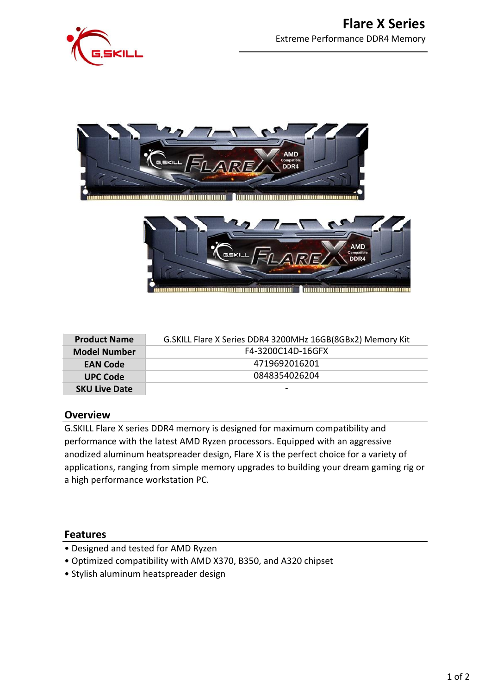





| <b>Product Name</b>  | G. SKILL Flare X Series DDR4 3200MHz 16GB(8GBx2) Memory Kit |  |  |
|----------------------|-------------------------------------------------------------|--|--|
| <b>Model Number</b>  | F4-3200C14D-16GFX                                           |  |  |
| <b>EAN Code</b>      | 4719692016201                                               |  |  |
| <b>UPC Code</b>      | 0848354026204                                               |  |  |
| <b>SKU Live Date</b> |                                                             |  |  |

#### **Overview**

G.SKILL Flare X series DDR4 memory is designed for maximum compatibility and performance with the latest AMD Ryzen processors. Equipped with an aggressive anodized aluminum heatspreader design, Flare X is the perfect choice for a variety of applications, ranging from simple memory upgrades to building your dream gaming rig or a high performance workstation PC.

#### **Features**

- Designed and tested for AMD Ryzen
- Optimized compatibility with AMD X370, B350, and A320 chipset
- Stylish aluminum heatspreader design